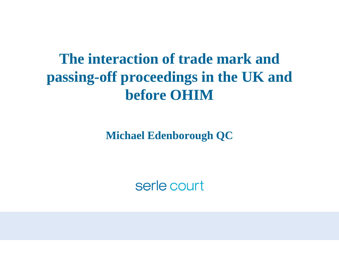## **The interaction of trade mark and passing-off proceedings in the UK and before OHIM**

**Michael Edenborough QC**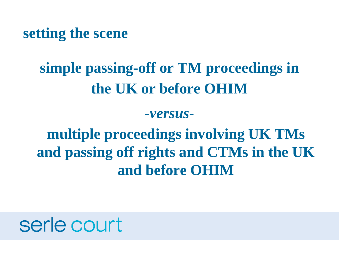**setting the scene**

## **simple passing-off or TM proceedings in the UK or before OHIM**

*-versus-*

**multiple proceedings involving UK TMs and passing off rights and CTMs in the UK and before OHIM**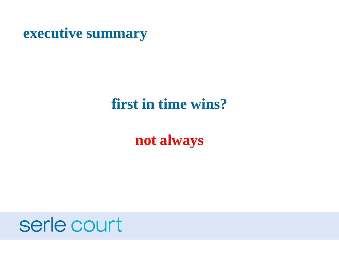**executive summary**

### **first in time wins?**

### **not always**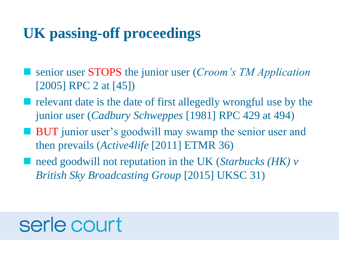## **UK passing-off proceedings**

- senior user **STOPS** the junior user (*Croom's TM Application* [2005] RPC 2 at [45])
- **P** relevant date is the date of first allegedly wrongful use by the junior user (*Cadbury Schweppes* [1981] RPC 429 at 494)
- **BUT** junior user's goodwill may swamp the senior user and then prevails (*Active4life* [2011] ETMR 36)
- need goodwill not reputation in the UK (*Starbucks (HK) v British Sky Broadcasting Group* [2015] UKSC 31)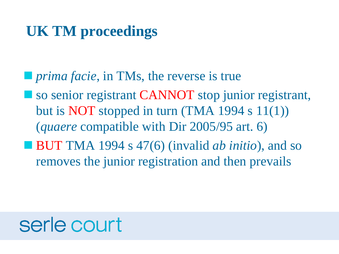## **UK TM proceedings**

- **P** *prima facie*, in TMs, the reverse is true
- so senior registrant CANNOT stop junior registrant, but is NOT stopped in turn (TMA 1994 s  $11(1)$ ) (*quaere* compatible with Dir 2005/95 art. 6)
- BUT TMA 1994 s 47(6) (invalid *ab initio*), and so removes the junior registration and then prevails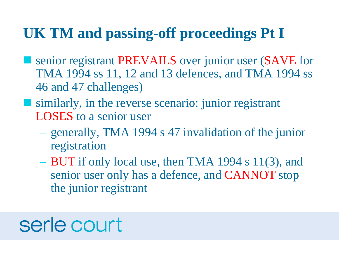## **UK TM and passing-off proceedings Pt I**

- senior registrant PREVAILS over junior user (SAVE for TMA 1994 ss 11, 12 and 13 defences, and TMA 1994 ss 46 and 47 challenges)
- similarly, in the reverse scenario: junior registrant LOSES to a senior user
	- generally, TMA 1994 s 47 invalidation of the junior registration
	- BUT if only local use, then TMA 1994 s 11(3), and senior user only has a defence, and CANNOT stop the junior registrant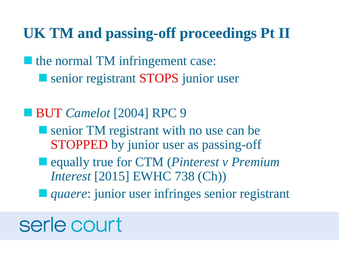### **UK TM and passing-off proceedings Pt II**

**If** the normal TM infringement case:

**SENIORS** senior registrant STOPS junior user

#### ■ **BUT** *Camelot* [2004] RPC 9

- Senior TM registrant with no use can be STOPPED by junior user as passing-off
- equally true for CTM (*Pinterest v Premium Interest* [2015] EWHC 738 (Ch))
- *quaere:* junior user infringes senior registrant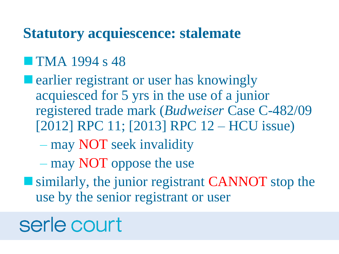#### **Statutory acquiescence: stalemate**

#### **TMA** 1994 s 48

- **E** earlier registrant or user has knowingly acquiesced for 5 yrs in the use of a junior registered trade mark (*Budweiser* Case C-482/09 [2012] RPC 11; [2013] RPC 12 – HCU issue)
	- may NOT seek invalidity
	- may NOT oppose the use
- **Similarly, the junior registrant CANNOT stop the** use by the senior registrant or user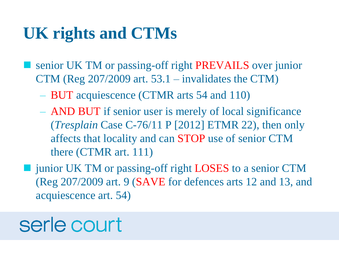## **UK rights and CTMs**

- senior UK TM or passing-off right PREVAILS over junior CTM (Reg 207/2009 art. 53.1 – invalidates the CTM)
	- BUT acquiescence (CTMR arts 54 and 110)
	- AND BUT if senior user is merely of local significance (*Tresplain* Case C-76/11 P [2012] ETMR 22), then only affects that locality and can STOP use of senior CTM there (CTMR art. 111)
- junior UK TM or passing-off right LOSES to a senior CTM (Reg 207/2009 art. 9 (SAVE for defences arts 12 and 13, and acquiescence art. 54)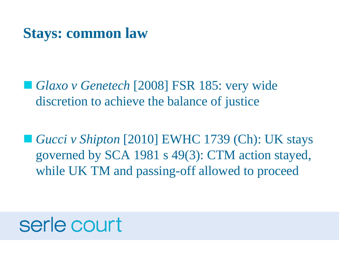### **Stays: common law**

■ *Glaxo v Genetech* [2008] FSR 185: very wide discretion to achieve the balance of justice

■ *Gucci v Shipton* [2010] EWHC 1739 (Ch): UK stays governed by SCA 1981 s 49(3): CTM action stayed, while UK TM and passing-off allowed to proceed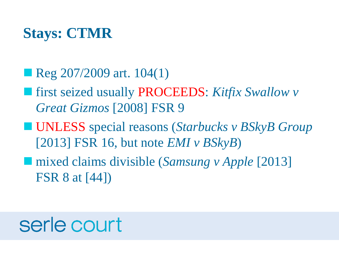## **Stays: CTMR**

#### Reg 207/2009 art. 104(1)

- first seized usually PROCEEDS: *Kitfix Swallow v Great Gizmos* [2008] FSR 9
- UNLESS special reasons (*Starbucks v BSkyB Group* [2013] FSR 16, but note *EMI v BSkyB*)
- mixed claims divisible (*Samsung v Apple* [2013] FSR 8 at [44])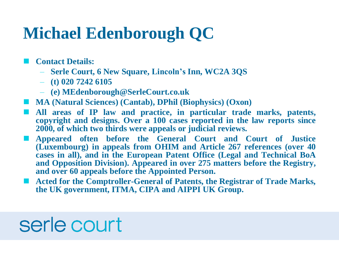## **Michael Edenborough QC**

**Contact Details:**

- **Serle Court, 6 New Square, Lincoln's Inn, WC2A 3QS**
- **(t) 020 7242 6105**
- **(e) MEdenborough@SerleCourt.co.uk**
- **MA (Natural Sciences) (Cantab), DPhil (Biophysics) (Oxon)**
- **All areas of IP law and practice, in particular trade marks, patents, copyright and designs. Over a 100 cases reported in the law reports since 2000, of which two thirds were appeals or judicial reviews.**
- **Appeared often before the General Court and Court of Justice (Luxembourg) in appeals from OHIM and Article 267 references (over 40 cases in all), and in the European Patent Office (Legal and Technical BoA and Opposition Division). Appeared in over 275 matters before the Registry, and over 60 appeals before the Appointed Person.**
- **Acted for the Comptroller-General of Patents, the Registrar of Trade Marks, the UK government, ITMA, CIPA and AIPPI UK Group.**